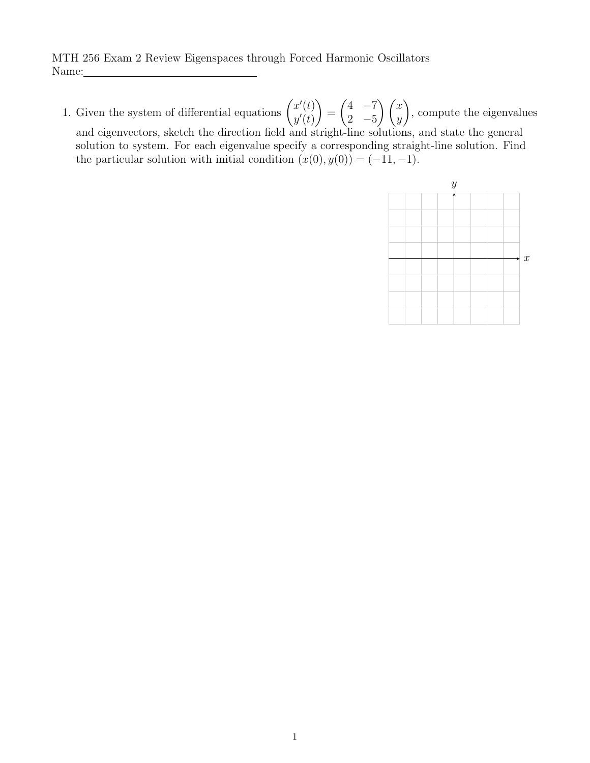MTH 256 Exam 2 Review Eigenspaces through Forced Harmonic Oscillators Name:

1. Given the system of differential equations  $\begin{pmatrix} x'(t) \\ y'(t) \end{pmatrix}$  $y'(t)$  $\setminus$ =  $(4 -7)$ 2  $-5$  $\bigwedge x$  $\hat{y}$  $\setminus$ , compute the eigenvalues and eigenvectors, sketch the direction field and stright-line solutions, and state the general solution to system. For each eigenvalue specify a corresponding straight-line solution. Find the particular solution with initial condition  $(x(0), y(0)) = (-11, -1)$ .

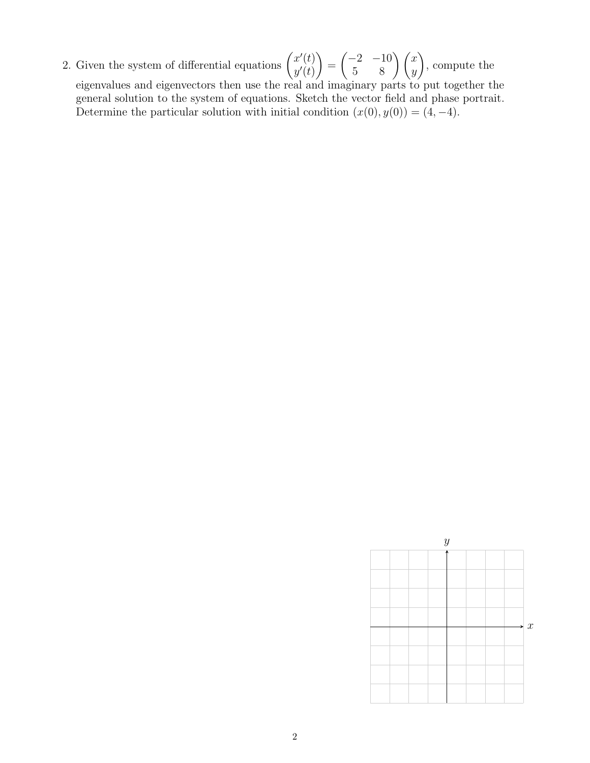2. Given the system of differential equations  $\begin{pmatrix} x'(t) \\ y'(t) \end{pmatrix}$  $y'(t)$  $\setminus$ =  $\begin{pmatrix} -2 & -10 \\ 5 & 8 \end{pmatrix} \begin{pmatrix} x \\ y \end{pmatrix}$  $\setminus$ , compute the eigenvalues and eigenvectors then use the real and imaginary parts to put together the general solution to the system of equations. Sketch the vector field and phase portrait. Determine the particular solution with initial condition  $(x(0), y(0)) = (4, -4)$ .

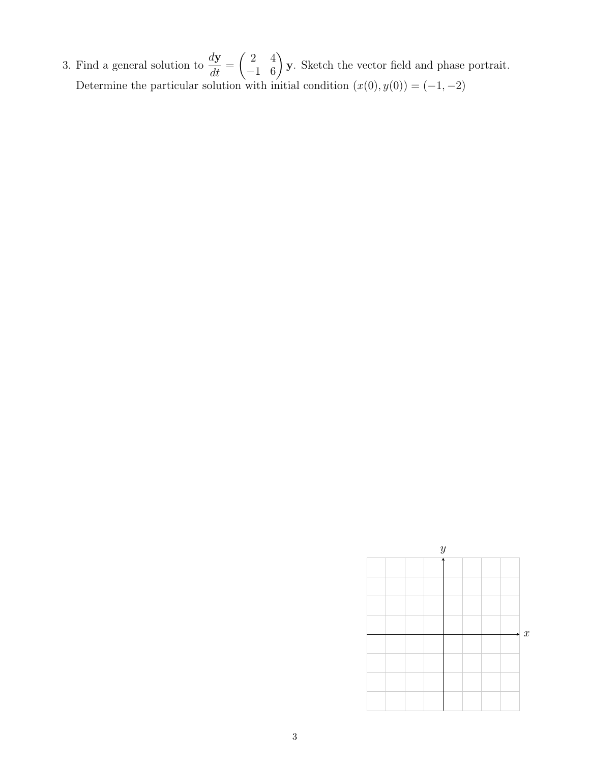3. Find a general solution to  $\frac{dy}{dt}$  $\frac{d\mathbf{y}}{dt} =$  $\begin{pmatrix} 2 & 4 \\ -1 & 6 \end{pmatrix}$  y. Sketch the vector field and phase portrait. Determine the particular solution with initial condition  $(x(0), y(0)) = (-1, -2)$ 

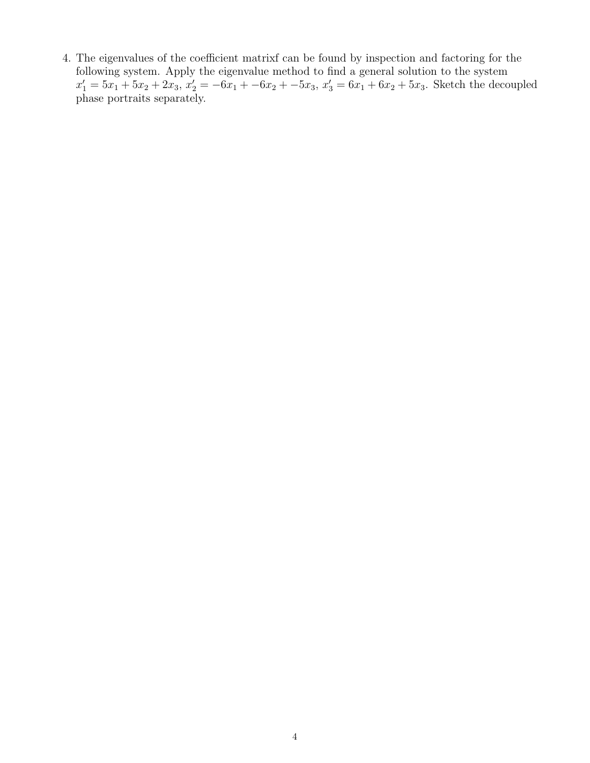4. The eigenvalues of the coefficient matrixf can be found by inspection and factoring for the following system. Apply the eigenvalue method to find a general solution to the system  $x'_1 = 5x_1 + 5x_2 + 2x_3$ ,  $x'_2 = -6x_1 + -6x_2 + -5x_3$ ,  $x'_3 = 6x_1 + 6x_2 + 5x_3$ . Sketch the decoupled phase portraits separately.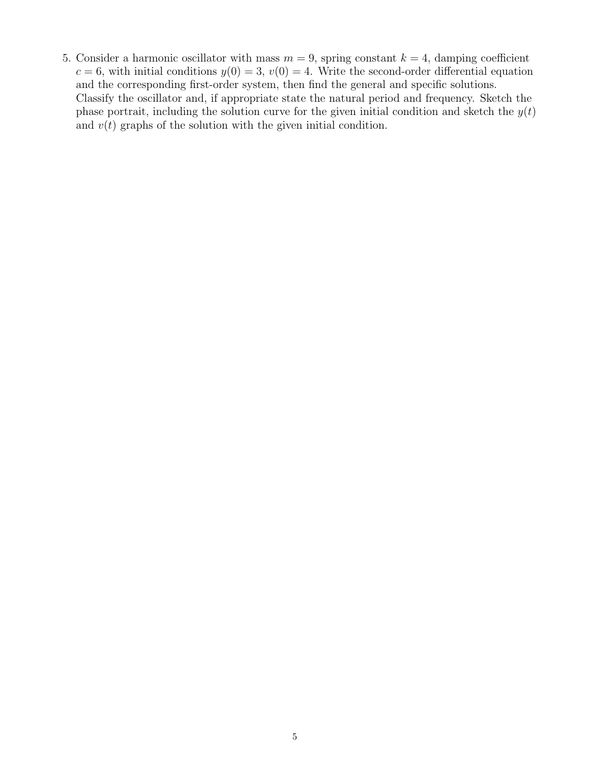5. Consider a harmonic oscillator with mass  $m = 9$ , spring constant  $k = 4$ , damping coefficient  $c = 6$ , with initial conditions  $y(0) = 3$ ,  $v(0) = 4$ . Write the second-order differential equation and the corresponding first-order system, then find the general and specific solutions. Classify the oscillator and, if appropriate state the natural period and frequency. Sketch the phase portrait, including the solution curve for the given initial condition and sketch the  $y(t)$ and  $v(t)$  graphs of the solution with the given initial condition.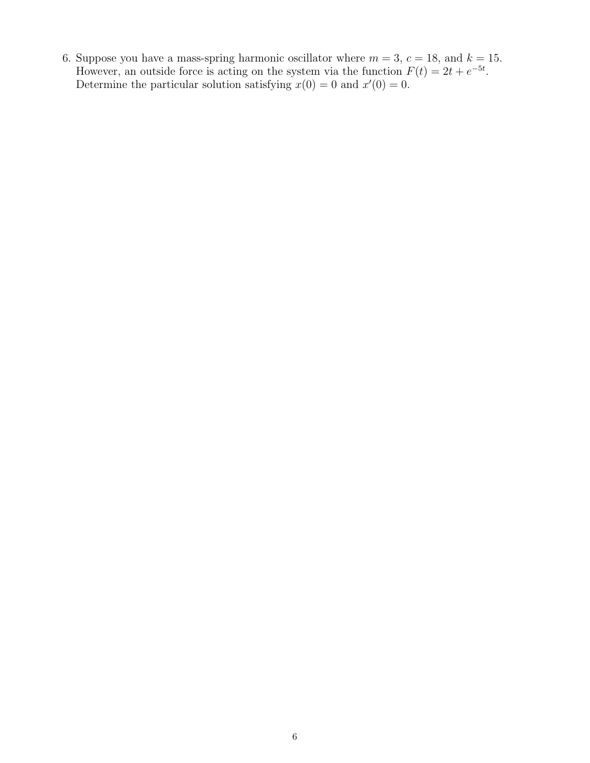6. Suppose you have a mass-spring harmonic oscillator where  $m = 3, c = 18$ , and  $k = 15$ . However, an outside force is acting on the system via the function  $F(t) = 2t + e^{-5t}$ . Determine the particular solution satisfying  $x(0) = 0$  and  $x'(0) = 0$ .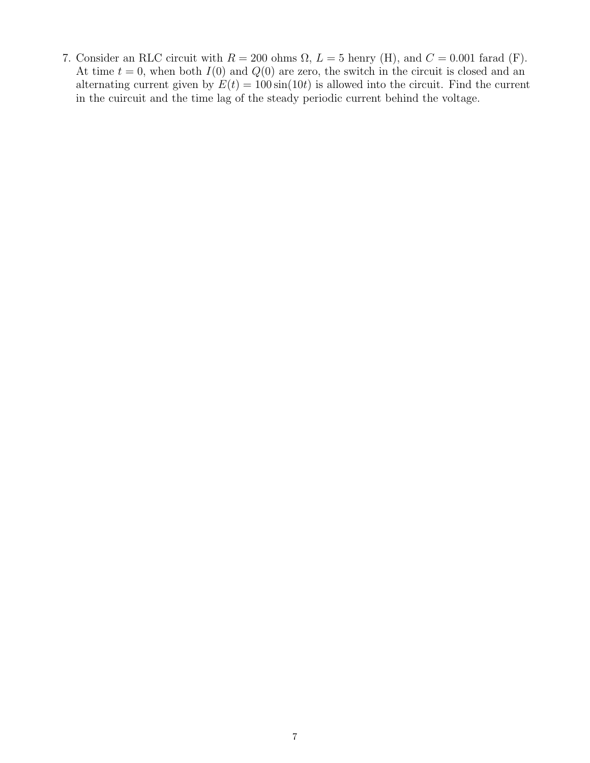7. Consider an RLC circuit with  $R = 200$  ohms  $\Omega$ ,  $L = 5$  henry (H), and  $C = 0.001$  farad (F). At time  $t = 0$ , when both  $I(0)$  and  $Q(0)$  are zero, the switch in the circuit is closed and an alternating current given by  $E(t) = 100 \sin(10t)$  is allowed into the circuit. Find the current in the cuircuit and the time lag of the steady periodic current behind the voltage.